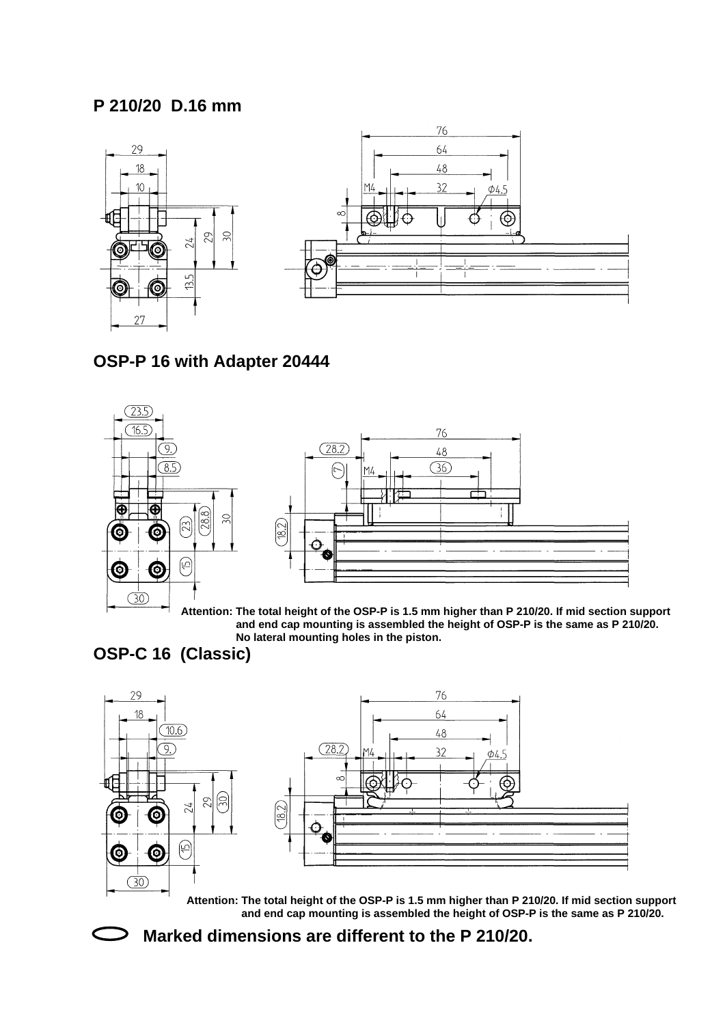## **P 210/20 D.16 mm**





### **OSP-P 16 with Adapter 20444**





**Attention: The total height of the OSP-P is 1.5 mm higher than P 210/20. If mid section support and end cap mounting is assembled the height of OSP-P is the same as P 210/20. No lateral mounting holes in the piston.**

# **OSP-C 16 (Classic)**



**Attention: The total height of the OSP-P is 1.5 mm higher than P 210/20. If mid section support and end cap mounting is assembled the height of OSP-P is the same as P 210/20.** 



**Marked dimensions are different to the P 210/20.**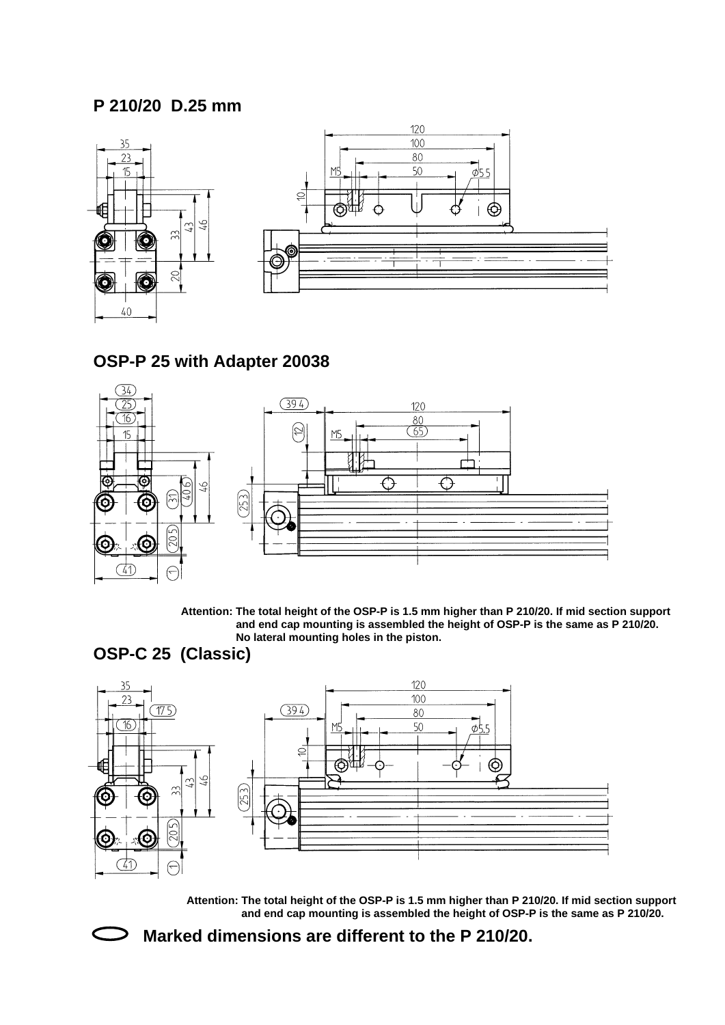# **P 210/20 D.25 mm**





### **OSP-P 25 with Adapter 20038**



**Attention: The total height of the OSP-P is 1.5 mm higher than P 210/20. If mid section support and end cap mounting is assembled the height of OSP-P is the same as P 210/20. No lateral mounting holes in the piston.**

## **OSP-C 25 (Classic)**



**Attention: The total height of the OSP-P is 1.5 mm higher than P 210/20. If mid section support and end cap mounting is assembled the height of OSP-P is the same as P 210/20.** 



**Marked dimensions are different to the P 210/20.**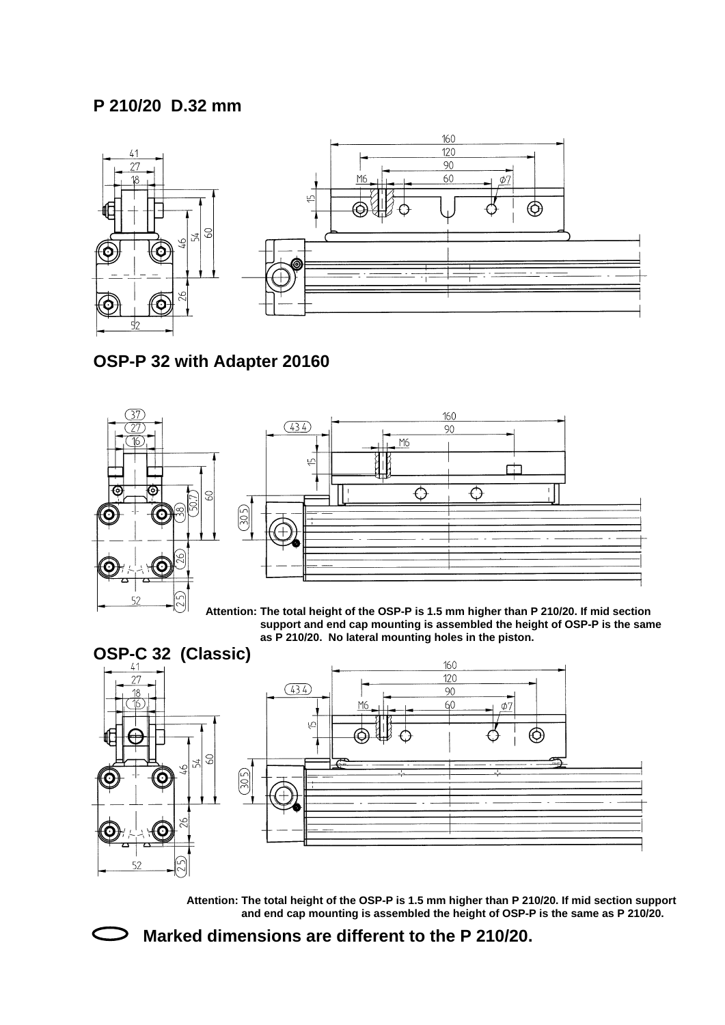### **P 210/20 D.32 mm**



## **OSP-P 32 with Adapter 20160**





**Attention: The total height of the OSP-P is 1.5 mm higher than P 210/20. If mid section support and end cap mounting is assembled the height of OSP-P is the same as P 210/20. No lateral mounting holes in the piston.**



**Attention: The total height of the OSP-P is 1.5 mm higher than P 210/20. If mid section support and end cap mounting is assembled the height of OSP-P is the same as P 210/20.** 



**Marked dimensions are different to the P 210/20.**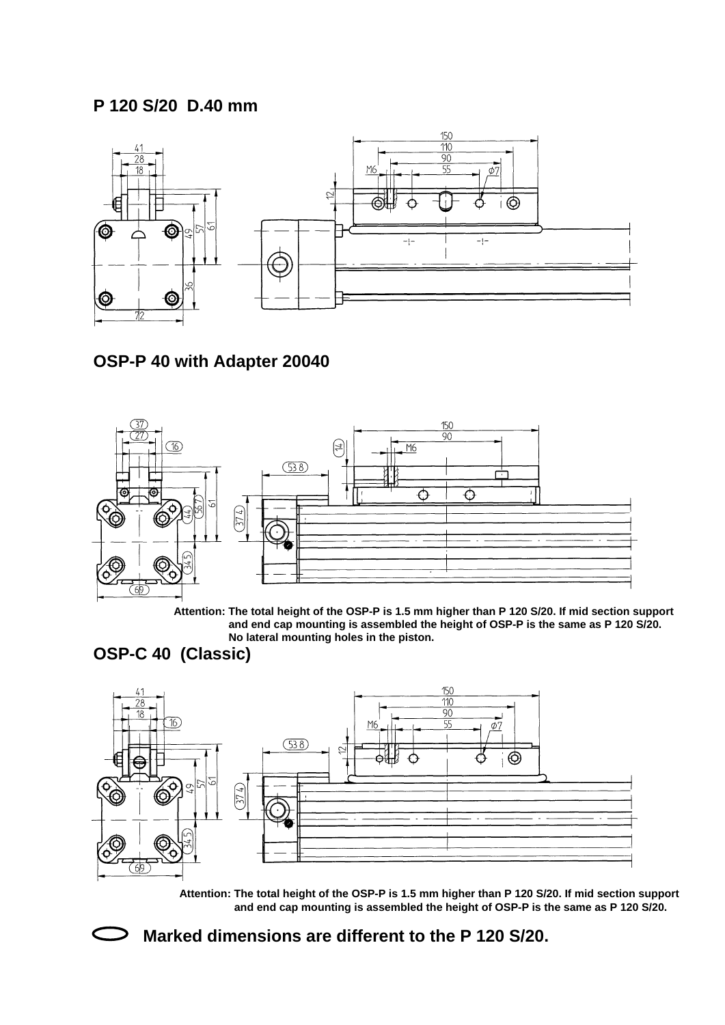### **P 120 S/20 D.40 mm**



## **OSP-P 40 with Adapter 20040**



**Attention: The total height of the OSP-P is 1.5 mm higher than P 120 S/20. If mid section support and end cap mounting is assembled the height of OSP-P is the same as P 120 S/20. No lateral mounting holes in the piston.**

## **OSP-C 40 (Classic)**



**Attention: The total height of the OSP-P is 1.5 mm higher than P 120 S/20. If mid section support and end cap mounting is assembled the height of OSP-P is the same as P 120 S/20.** 



#### **Marked dimensions are different to the P 120 S/20.**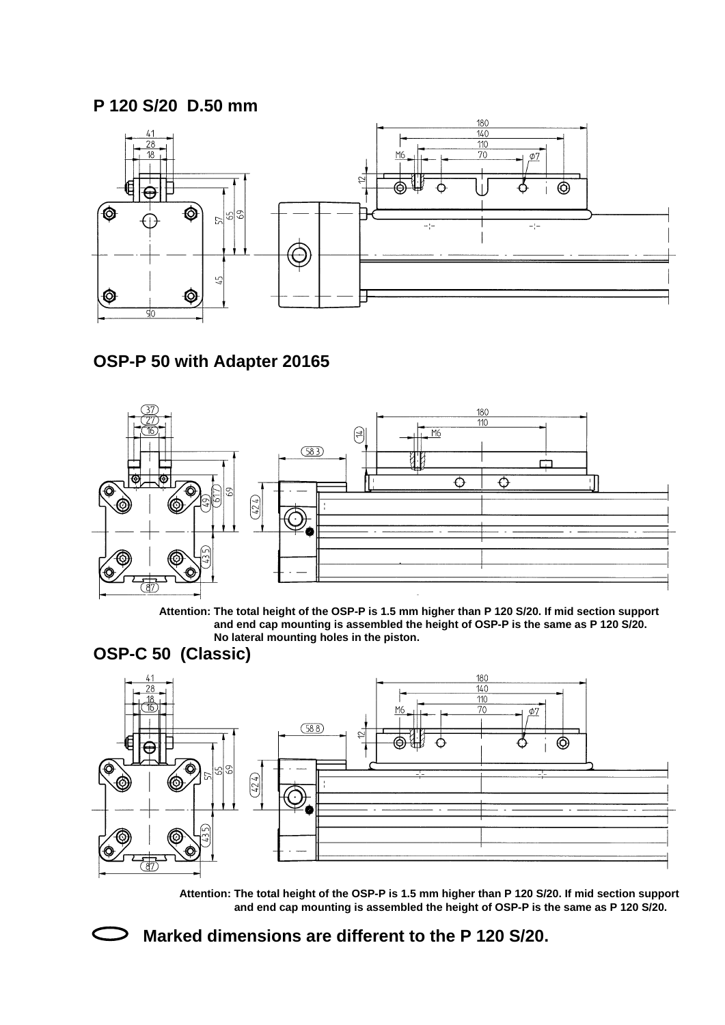### **P 120 S/20 D.50 mm**



## **OSP-P 50 with Adapter 20165**



**Attention: The total height of the OSP-P is 1.5 mm higher than P 120 S/20. If mid section support and end cap mounting is assembled the height of OSP-P is the same as P 120 S/20. No lateral mounting holes in the piston.**

#### **OSP-C 50 (Classic)**



**Attention: The total height of the OSP-P is 1.5 mm higher than P 120 S/20. If mid section support and end cap mounting is assembled the height of OSP-P is the same as P 120 S/20.** 



#### **Marked dimensions are different to the P 120 S/20.**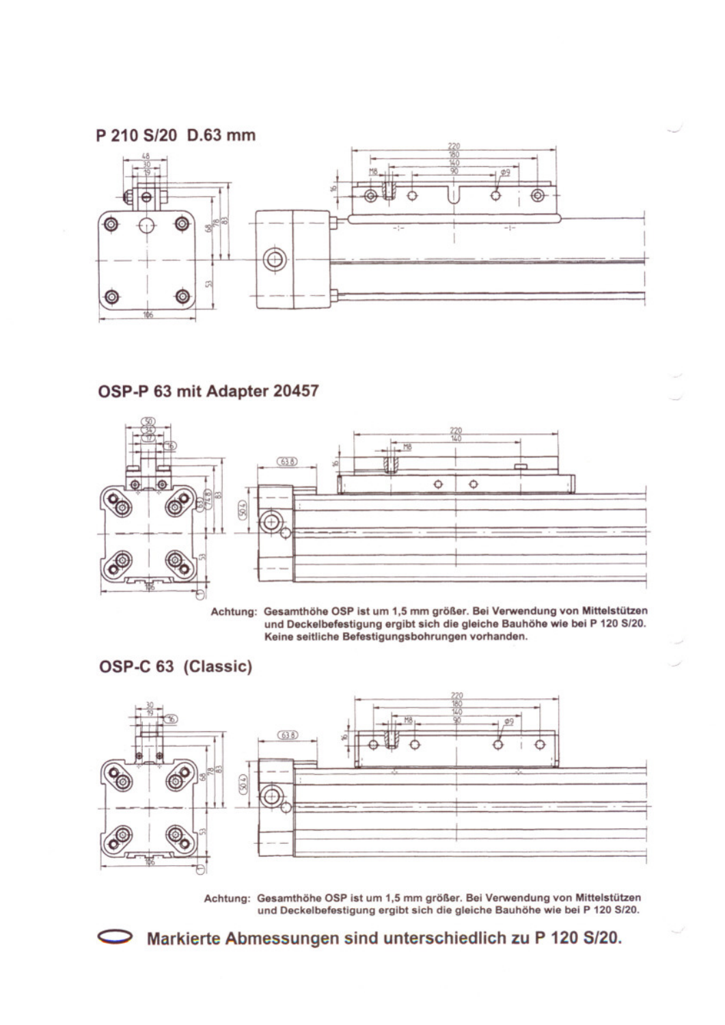

# OSP-P 63 mit Adapter 20457



Achtung: Gesamthöhe OSP ist um 1,5 mm größer. Bei Verwendung von Mittelstützen und Deckelbefestigung ergibt sich die gleiche Bauhöhe wie bei P 120 S/20. Keine seitliche Befestigungsbohrungen vorhanden.

#### OSP-C 63 (Classic)

⊃



Achtung: Gesamthöhe OSP ist um 1,5 mm größer. Bei Verwendung von Mittelstützen und Deckelbefestigung ergibt sich die gleiche Bauhöhe wie bei P 120 S/20.

Markierte Abmessungen sind unterschiedlich zu P 120 S/20.